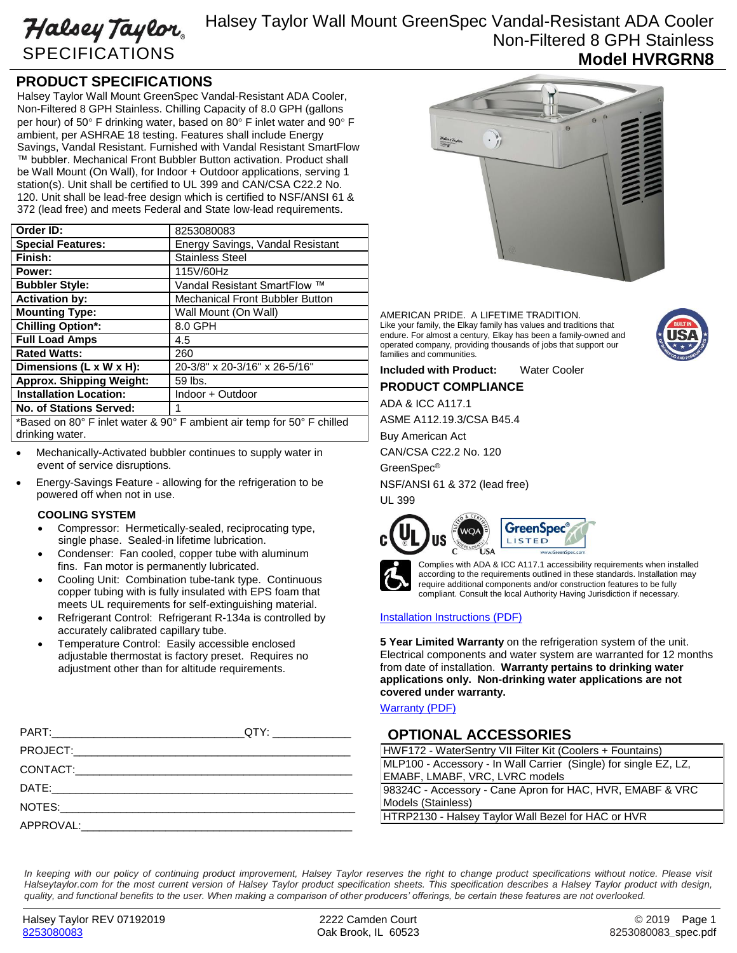# Halsey Taylor SPECIFICATIONS

## Halsey Taylor Wall Mount GreenSpec Vandal-Resistant ADA Cooler Non-Filtered 8 GPH Stainless **Model HVRGRN8**

### **PRODUCT SPECIFICATIONS**

Halsey Taylor Wall Mount GreenSpec Vandal-Resistant ADA Cooler, Non-Filtered 8 GPH Stainless. Chilling Capacity of 8.0 GPH (gallons per hour) of 50° F drinking water, based on 80° F inlet water and 90° F ambient, per ASHRAE 18 testing. Features shall include Energy Savings, Vandal Resistant. Furnished with Vandal Resistant SmartFlow ™ bubbler. Mechanical Front Bubbler Button activation. Product shall be Wall Mount (On Wall), for Indoor + Outdoor applications, serving 1 station(s). Unit shall be certified to UL 399 and CAN/CSA C22.2 No. 120. Unit shall be lead-free design which is certified to NSF/ANSI 61 & 372 (lead free) and meets Federal and State low-lead requirements.

| Order ID:                                                               | 8253080083                             |
|-------------------------------------------------------------------------|----------------------------------------|
| <b>Special Features:</b>                                                | Energy Savings, Vandal Resistant       |
| Finish:                                                                 | <b>Stainless Steel</b>                 |
| Power:                                                                  | 115V/60Hz                              |
| <b>Bubbler Style:</b>                                                   | Vandal Resistant SmartFlow ™           |
| <b>Activation by:</b>                                                   | <b>Mechanical Front Bubbler Button</b> |
| <b>Mounting Type:</b>                                                   | Wall Mount (On Wall)                   |
| <b>Chilling Option*:</b>                                                | 8.0 GPH                                |
| <b>Full Load Amps</b>                                                   | 4.5                                    |
| <b>Rated Watts:</b>                                                     | 260                                    |
| Dimensions (L x W $\overline{x}$ H):                                    | 20-3/8" x 20-3/16" x 26-5/16"          |
| <b>Approx. Shipping Weight:</b>                                         | 59 lbs.                                |
| <b>Installation Location:</b>                                           | Indoor + Outdoor                       |
| <b>No. of Stations Served:</b>                                          | 1                                      |
| *Based on 80° E inlet water 8, 90° E ambient air temp for 50° E chilled |                                        |

Based on 80° F inlet water & 90° F ambient air temp for 50° F chilled drinking water.

- Mechanically-Activated bubbler continues to supply water in event of service disruptions.
- Energy-Savings Feature allowing for the refrigeration to be powered off when not in use.

#### **COOLING SYSTEM**

- Compressor: Hermetically-sealed, reciprocating type, single phase. Sealed-in lifetime lubrication.
- Condenser: Fan cooled, copper tube with aluminum fins. Fan motor is permanently lubricated.
- Cooling Unit: Combination tube-tank type. Continuous copper tubing with is fully insulated with EPS foam that meets UL requirements for self-extinguishing material.
- Refrigerant Control: Refrigerant R-134a is controlled by accurately calibrated capillary tube.
- Temperature Control: Easily accessible enclosed adjustable thermostat is factory preset. Requires no adjustment other than for altitude requirements.



AMERICAN PRIDE. A LIFETIME TRADITION. Like your family, the Elkay family has values and traditions that endure. For almost a century, Elkay has been a family-owned and operated company, providing thousands of jobs that support our families and communities.



**Included with Product:** Water Cooler

**PRODUCT COMPLIANCE**

ADA & ICC A117.1

ASME A112.19.3/CSA B45.4

Buy American Act

CAN/CSA C22.2 No. 120

GreenSpec®

NSF/ANSI 61 & 372 (lead free) UL 399





Complies with ADA & ICC A117.1 accessibility requirements when installed according to the requirements outlined in these standards. Installation may require additional components and/or construction features to be fully compliant. Consult the local Authority Having Jurisdiction if necessary.

### [Installation Instructions \(PDF\)](http://www.elkay.com/wcsstore/lkdocs/care-cleaning-install-warranty-sheets/98659c.pdf)

**5 Year Limited Warranty** on the refrigeration system of the unit. Electrical components and water system are warranted for 12 months from date of installation. **Warranty pertains to drinking water applications only. Non-drinking water applications are not covered under warranty.**

[Warranty](http://www.elkay.com/wcsstore/lkdocs/care-cleaning-install-warranty-sheets/96994c.pdf) (PDF)

### **OPTIONAL ACCESSORIES**

| HWF172 - WaterSentry VII Filter Kit (Coolers + Fountains)        |  |
|------------------------------------------------------------------|--|
| MLP100 - Accessory - In Wall Carrier (Single) for single EZ, LZ, |  |
| EMABF, LMABF, VRC, LVRC models                                   |  |
| 98324C - Accessory - Cane Apron for HAC, HVR, EMABF & VRC        |  |
| Models (Stainless)                                               |  |
| HTRP2130 - Halsey Taylor Wall Bezel for HAC or HVR               |  |

In keeping with our policy of continuing product improvement, Halsey Taylor reserves the right to change product specifications without notice. Please visit *Halseytaylor.com for the most current version of Halsey Taylor product specification sheets. This specification describes a Halsey Taylor product with design, quality, and functional benefits to the user. When making a comparison of other producers' offerings, be certain these features are not overlooked.*